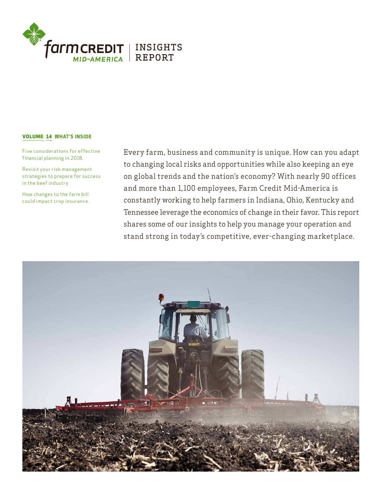

# VOLUME 14 WHAT'S INSIDE

Five considerations for effective financial planning in 2018.

Revisit your risk management strategies to prepare for success in the beef industry.

How changes to the farm bill could impact crop insurance. Every farm, business and community is unique. How can you adapt to changing local risks and opportunities while also keeping an eye on global trends and the nation's economy? With nearly 90 offices and more than 1,100 employees, Farm Credit Mid-America is constantly working to help farmers in Indiana, Ohio, Kentucky and Tennessee leverage the economics of change in their favor. This report shares some of our insights to help you manage your operation and stand strong in today's competitive, ever-changing marketplace.

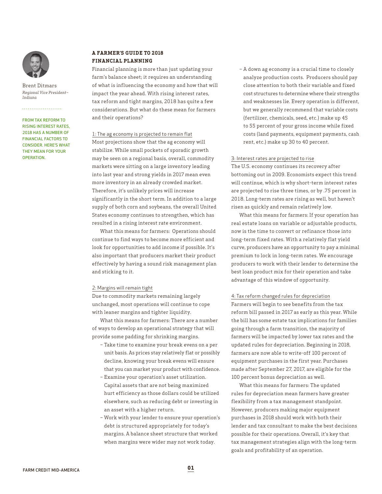

Brent Ditmars *Regional Vice President– Indiana*

# . . . . . . . . . . . . . . . . . . . . FROM TAX REFORM TO

RISING INTEREST RATES, 2018 HAS A NUMBER OF FINANCIAL FACTORS TO CONSIDER. HERE'S WHAT THEY MEAN FOR YOUR **OPERATION** 

## **A FARMER'S GUIDE TO 2018 FINANCIAL PLANNING**

Financial planning is more than just updating your farm's balance sheet; it requires an understanding of what is influencing the economy and how that will impact the year ahead. With rising interest rates, tax reform and tight margins, 2018 has quite a few considerations. But what do these mean for farmers and their operations?

#### 1: The ag economy is projected to remain flat

Most projections show that the ag economy will stabilize. While small pockets of sporadic growth may be seen on a regional basis, overall, commodity markets were sitting on a large inventory leading into last year and strong yields in 2017 mean even more inventory in an already crowded market. Therefore, it's unlikely prices will increase significantly in the short term. In addition to a large supply of both corn and soybeans, the overall United States economy continues to strengthen, which has resulted in a rising interest rate environment.

What this means for farmers: Operations should continue to find ways to become more efficient and look for opportunities to add income if possible. It's also important that producers market their product effectively by having a sound risk management plan and sticking to it.

#### 2: Margins will remain tight

Due to commodity markets remaining largely unchanged, most operations will continue to cope with leaner margins and tighter liquidity.

What this means for farmers: There are a number of ways to develop an operational strategy that will provide some padding for shrinking margins.

- Take time to examine your break evens on a per unit basis. As prices stay relatively flat or possibly decline, knowing your break evens will ensure that you can market your product with confidence.
- Examine your operation's asset utilization. Capital assets that are not being maximized hurt efficiency as those dollars could be utilized elsewhere, such as reducing debt or investing in an asset with a higher return.
- Work with your lender to ensure your operation's debt is structured appropriately for today's margins. A balance sheet structure that worked when margins were wider may not work today.

– A down ag economy is a crucial time to closely analyze production costs. Producers should pay close attention to both their variable and fixed cost structures to determine where their strengths and weaknesses lie. Every operation is different, but we generally recommend that variable costs (fertilizer, chemicals, seed, etc.) make up 45 to 55 percent of your gross income while fixed costs (land payments, equipment payments, cash rent, etc.) make up 30 to 40 percent.

#### 3: Interest rates are projected to rise

The U.S. economy continues its recovery after bottoming out in 2009. Economists expect this trend will continue, which is why short-term interest rates are projected to rise three times, or by .75 percent in 2018. Long-term rates are rising as well, but haven't risen as quickly and remain relatively low.

What this means for farmers: If your operation has real estate loans on variable or adjustable products, now is the time to convert or refinance those into long-term fixed rates. With a relatively flat yield curve, producers have an opportunity to pay a minimal premium to lock in long-term rates. We encourage producers to work with their lender to determine the best loan product mix for their operation and take advantage of this window of opportunity.

4: Tax reform changed rules for depreciation Farmers will begin to see benefits from the tax reform bill passed in 2017 as early as this year. While the bill has some estate tax implications for families going through a farm transition, the majority of farmers will be impacted by lower tax rates and the updated rules for depreciation. Beginning in 2018, farmers are now able to write-off 100 percent of equipment purchases in the first year. Purchases made after September 27, 2017, are eligible for the 100 percent bonus depreciation as well.

What this means for farmers: The updated rules for depreciation mean farmers have greater flexibility from a tax management standpoint. However, producers making major equipment purchases in 2018 should work with both their lender and tax consultant to make the best decisions possible for their operations. Overall, it's key that tax management strategies align with the long-term goals and profitability of an operation.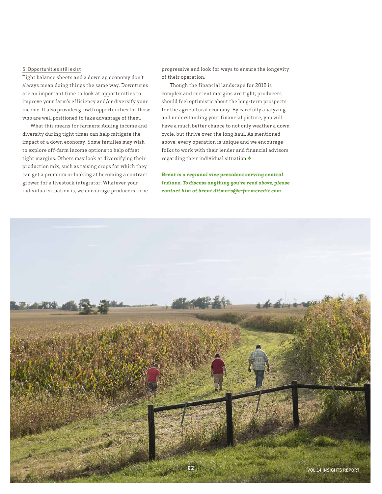## 5: Opportunities still exist

Tight balance sheets and a down ag economy don't always mean doing things the same way. Downturns are an important time to look at opportunities to improve your farm's efficiency and/or diversify your income. It also provides growth opportunities for those who are well positioned to take advantage of them.

What this means for farmers: Adding income and diversity during tight times can help mitigate the impact of a down economy. Some families may wish to explore off-farm income options to help offset tight margins. Others may look at diversifying their production mix, such as raising crops for which they can get a premium or looking at becoming a contract grower for a livestock integrator. Whatever your individual situation is, we encourage producers to be progressive and look for ways to ensure the longevity of their operation.

Though the financial landscape for 2018 is complex and current margins are tight, producers should feel optimistic about the long-term prospects for the agricultural economy. By carefully analyzing and understanding your financial picture, you will have a much better chance to not only weather a down cycle, but thrive over the long haul. As mentioned above, every operation is unique and we encourage folks to work with their lender and financial advisors regarding their individual situation.

*Brent is a regional vice president serving central Indiana. To discuss anything you've read above, please contact him at brent.ditmars@e-farmcredit.com.*

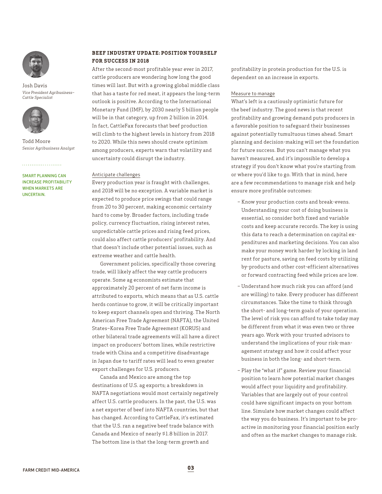

Josh Davis *Vice President Agribusiness– Cattle Specialist*



Todd Moore *Senior Agribusiness Analyst*

SMART PLANNING CAN INCREASE PROFITABILITY WHEN MARKETS ARE UNCERTAIN.

. . . . . . . . . . . . . . . . . . . .

# **BEEF INDUSTRY UPDATE: POSITION YOURSELF FOR SUCCESS IN 2018**

After the second-most profitable year ever in 2017, cattle producers are wondering how long the good times will last. But with a growing global middle class that has a taste for red meat, it appears the long-term outlook is positive. According to the International Monetary Fund (IMF), by 2030 nearly 5 billion people will be in that category, up from 2 billion in 2014. In fact, CattleFax forecasts that beef production will climb to the highest levels in history from 2018 to 2020. While this news should create optimism among producers, experts warn that volatility and uncertainty could disrupt the industry.

# Anticipate challenges

Every production year is fraught with challenges, and 2018 will be no exception. A variable market is expected to produce price swings that could range from 20 to 30 percent, making economic certainty hard to come by. Broader factors, including trade policy, currency fluctuation, rising interest rates, unpredictable cattle prices and rising feed prices, could also affect cattle producers' profitability. And that doesn't include other potential issues, such as extreme weather and cattle health.

Government policies, specifically those covering trade, will likely affect the way cattle producers operate. Some ag economists estimate that approximately 20 percent of net farm income is attributed to exports, which means that as U.S. cattle herds continue to grow, it will be critically important to keep export channels open and thriving. The North American Free Trade Agreement (NAFTA), the United States–Korea Free Trade Agreement (KORUS) and other bilateral trade agreements will all have a direct impact on producers' bottom lines, while restrictive trade with China and a competitive disadvantage in Japan due to tariff rates will lead to even greater export challenges for U.S. producers.

Canada and Mexico are among the top destinations of U.S. ag exports; a breakdown in NAFTA negotiations would most certainly negatively affect U.S. cattle producers. In the past, the U.S. was a net exporter of beef into NAFTA countries, but that has changed. According to CattleFax, it's estimated that the U.S. ran a negative beef trade balance with Canada and Mexico of nearly \$1.8 billion in 2017. The bottom line is that the long-term growth and

profitability in protein production for the U.S. is dependent on an increase in exports.

#### Measure to manage

What's left is a cautiously optimistic future for the beef industry. The good news is that recent profitability and growing demand puts producers in a favorable position to safeguard their businesses against potentially tumultuous times ahead. Smart planning and decision-making will set the foundation for future success. But you can't manage what you haven't measured, and it's impossible to develop a strategy if you don't know what you're starting from or where you'd like to go. With that in mind, here are a few recommendations to manage risk and help ensure more profitable outcomes:

- Know your production costs and break-evens. Understanding your cost of doing business is essential, so consider both fixed and variable costs and keep accurate records. The key is using this data to reach a determination on capital expenditures and marketing decisions. You can also make your money work harder by locking in land rent for pasture, saving on feed costs by utilizing by-products and other cost-efficient alternatives or forward contracting feed while prices are low.
- Understand how much risk you can afford (and are willing) to take. Every producer has different circumstances. Take the time to think through the short- and long-term goals of your operation. The level of risk you can afford to take today may be different from what it was even two or three years ago. Work with your trusted advisors to understand the implications of your risk-management strategy and how it could affect your business in both the long- and short-term.
- Play the "what if" game. Review your financial position to learn how potential market changes would affect your liquidity and profitability. Variables that are largely out of your control could have significant impacts on your bottom line. Simulate how market changes could affect the way you do business. It's important to be proactive in monitoring your financial position early and often as the market changes to manage risk.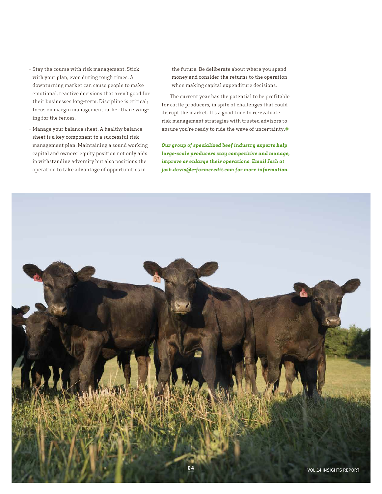- Stay the course with risk management. Stick with your plan, even during tough times. A downturning market can cause people to make emotional, reactive decisions that aren't good for their businesses long-term. Discipline is critical; focus on margin management rather than swinging for the fences.
- Manage your balance sheet. A healthy balance sheet is a key component to a successful risk management plan. Maintaining a sound working capital and owners' equity position not only aids in withstanding adversity but also positions the operation to take advantage of opportunities in

the future. Be deliberate about where you spend money and consider the returns to the operation when making capital expenditure decisions.

The current year has the potential to be profitable for cattle producers, in spite of challenges that could disrupt the market. It's a good time to re-evaluate risk management strategies with trusted advisors to ensure you're ready to ride the wave of uncertainty. $\blacklozenge$ 

*Our group of specialized beef industry experts help large-scale producers stay competitive and manage, improve or enlarge their operations. Email Josh at josh.davis@e-farmcredit.com for more information.*

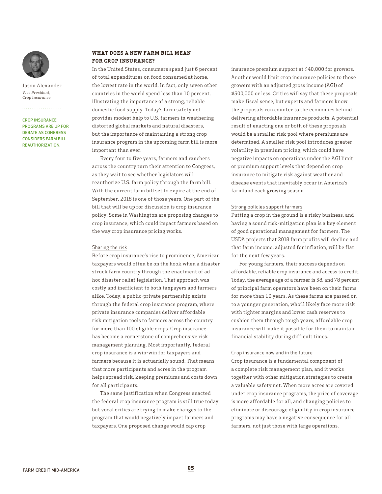![](_page_5_Picture_0.jpeg)

Jason Alexander *Vice President, Crop Insurance*

# . . . . . . . . . . . . . . . . . . . .

CROP INSURANCE PROGRAMS ARE UP FOR DEBATE AS CONGRESS CONSIDERS FARM BILL REAUTHORIZATION.

#### **WHAT DOES A NEW FARM BILL MEAN FOR CROP INSURANCE?**

In the United States, consumers spend just 6 percent of total expenditures on food consumed at home, the lowest rate in the world. In fact, only seven other countries in the world spend less than 10 percent, illustrating the importance of a strong, reliable domestic food supply. Today's farm safety net provides modest help to U.S. farmers in weathering distorted global markets and natural disasters, but the importance of maintaining a strong crop insurance program in the upcoming farm bill is more important than ever.

Every four to five years, farmers and ranchers across the country turn their attention to Congress, as they wait to see whether legislators will reauthorize U.S. farm policy through the farm bill. With the current farm bill set to expire at the end of September, 2018 is one of those years. One part of the bill that will be up for discussion is crop insurance policy. Some in Washington are proposing changes to crop insurance, which could impact farmers based on the way crop insurance pricing works.

#### Sharing the risk

Before crop insurance's rise to prominence, American taxpayers would often be on the hook when a disaster struck farm country through the enactment of ad hoc disaster relief legislation. That approach was costly and inefficient to both taxpayers and farmers alike. Today, a public-private partnership exists through the federal crop insurance program, where private insurance companies deliver affordable risk mitigation tools to farmers across the country for more than 100 eligible crops. Crop insurance has become a cornerstone of comprehensive risk management planning. Most importantly, federal crop insurance is a win-win for taxpayers and farmers because it is actuarially sound. That means that more participants and acres in the program helps spread risk, keeping premiums and costs down for all participants.

The same justification when Congress enacted the federal crop insurance program is still true today, but vocal critics are trying to make changes to the program that would negatively impact farmers and taxpayers. One proposed change would cap crop

insurance premium support at \$40,000 for growers. Another would limit crop insurance policies to those growers with an adjusted gross income (AGI) of \$500,000 or less. Critics will say that these proposals make fiscal sense, but experts and farmers know the proposals run counter to the economics behind delivering affordable insurance products. A potential result of enacting one or both of these proposals would be a smaller risk pool where premiums are determined. A smaller risk pool introduces greater volatility in premium pricing, which could have negative impacts on operations under the AGI limit or premium support levels that depend on crop insurance to mitigate risk against weather and disease events that inevitably occur in America's farmland each growing season.

#### Strong policies support farmers

Putting a crop in the ground is a risky business, and having a sound risk-mitigation plan is a key element of good operational management for farmers. The USDA projects that 2018 farm profits will decline and that farm income, adjusted for inflation, will be flat for the next few years.

For young farmers, their success depends on affordable, reliable crop insurance and access to credit. Today, the average age of a farmer is 58, and 78 percent of principal farm operators have been on their farms for more than 10 years. As these farms are passed on to a younger generation, who'll likely face more risk with tighter margins and lower cash reserves to cushion them through tough years, affordable crop insurance will make it possible for them to maintain financial stability during difficult times.

# Crop insurance now and in the future

Crop insurance is a fundamental component of a complete risk management plan, and it works together with other mitigation strategies to create a valuable safety net. When more acres are covered under crop insurance programs, the price of coverage is more affordable for all, and changing policies to eliminate or discourage eligibility in crop insurance programs may have a negative consequence for all farmers, not just those with large operations.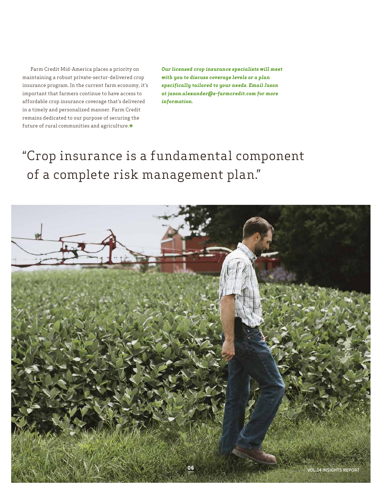Farm Credit Mid-America places a priority on maintaining a robust private-sector-delivered crop insurance program. In the current farm economy, it's important that farmers continue to have access to affordable crop insurance coverage that's delivered in a timely and personalized manner. Farm Credit remains dedicated to our purpose of securing the future of rural communities and agriculture. $\blacklozenge$ 

*Our licensed crop insurance specialists will meet with you to discuss coverage levels or a plan specifically tailored to your needs. Email Jason at jason.alexander@e-farmcredit.com for more information.*

# "Crop insurance is a fundamental component of a complete risk management plan."

![](_page_6_Picture_3.jpeg)